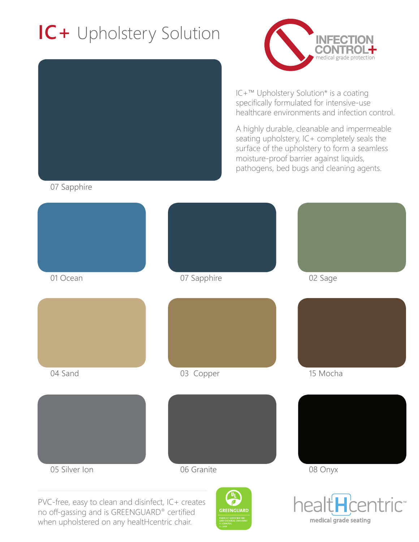# **IC+** Upholstery Solution





IC+™ Upholstery Solution\* is a coating specifically formulated for intensive-use healthcare environments and infection control.

A highly durable, cleanable and impermeable seating upholstery, IC+ completely seals the surface of the upholstery to form a seamless moisture-proof barrier against liquids, pathogens, bed bugs and cleaning agents.

07 Sapphire



PVC-free, easy to clean and disinfect, IC+ creates no off-gassing and is GREENGUARD® certified when upholstered on any healtHcentric chair.